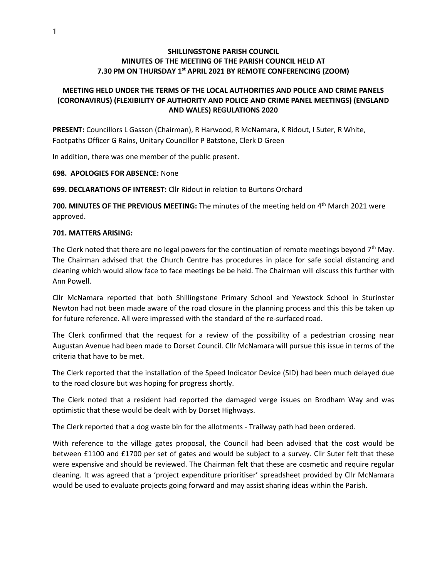## **SHILLINGSTONE PARISH COUNCIL MINUTES OF THE MEETING OF THE PARISH COUNCIL HELD AT 7.30 PM ON THURSDAY 1 st APRIL 2021 BY REMOTE CONFERENCING (ZOOM)**

# **MEETING HELD UNDER THE TERMS OF THE LOCAL AUTHORITIES AND POLICE AND CRIME PANELS (CORONAVIRUS) (FLEXIBILITY OF AUTHORITY AND POLICE AND CRIME PANEL MEETINGS) (ENGLAND AND WALES) REGULATIONS 2020**

**PRESENT:** Councillors L Gasson (Chairman), R Harwood, R McNamara, K Ridout, I Suter, R White, Footpaths Officer G Rains, Unitary Councillor P Batstone, Clerk D Green

In addition, there was one member of the public present.

#### **698. APOLOGIES FOR ABSENCE:** None

**699. DECLARATIONS OF INTEREST:** Cllr Ridout in relation to Burtons Orchard

**700. MINUTES OF THE PREVIOUS MEETING:** The minutes of the meeting held on 4<sup>th</sup> March 2021 were approved.

#### **701. MATTERS ARISING:**

The Clerk noted that there are no legal powers for the continuation of remote meetings beyond  $7<sup>th</sup>$  May. The Chairman advised that the Church Centre has procedures in place for safe social distancing and cleaning which would allow face to face meetings be be held. The Chairman will discuss this further with Ann Powell.

Cllr McNamara reported that both Shillingstone Primary School and Yewstock School in Sturinster Newton had not been made aware of the road closure in the planning process and this this be taken up for future reference. All were impressed with the standard of the re-surfaced road.

The Clerk confirmed that the request for a review of the possibility of a pedestrian crossing near Augustan Avenue had been made to Dorset Council. Cllr McNamara will pursue this issue in terms of the criteria that have to be met.

The Clerk reported that the installation of the Speed Indicator Device (SID) had been much delayed due to the road closure but was hoping for progress shortly.

The Clerk noted that a resident had reported the damaged verge issues on Brodham Way and was optimistic that these would be dealt with by Dorset Highways.

The Clerk reported that a dog waste bin for the allotments - Trailway path had been ordered.

With reference to the village gates proposal, the Council had been advised that the cost would be between £1100 and £1700 per set of gates and would be subject to a survey. Cllr Suter felt that these were expensive and should be reviewed. The Chairman felt that these are cosmetic and require regular cleaning. It was agreed that a 'project expenditure prioritiser' spreadsheet provided by Cllr McNamara would be used to evaluate projects going forward and may assist sharing ideas within the Parish.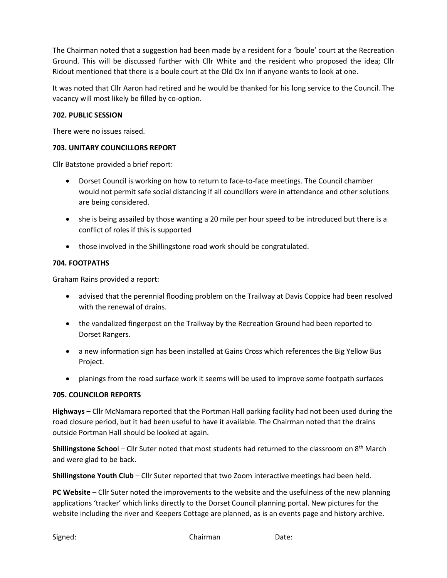The Chairman noted that a suggestion had been made by a resident for a 'boule' court at the Recreation Ground. This will be discussed further with Cllr White and the resident who proposed the idea; Cllr Ridout mentioned that there is a boule court at the Old Ox Inn if anyone wants to look at one.

It was noted that Cllr Aaron had retired and he would be thanked for his long service to the Council. The vacancy will most likely be filled by co-option.

## **702. PUBLIC SESSION**

There were no issues raised.

## **703. UNITARY COUNCILLORS REPORT**

Cllr Batstone provided a brief report:

- Dorset Council is working on how to return to face-to-face meetings. The Council chamber would not permit safe social distancing if all councillors were in attendance and other solutions are being considered.
- she is being assailed by those wanting a 20 mile per hour speed to be introduced but there is a conflict of roles if this is supported
- those involved in the Shillingstone road work should be congratulated.

## **704. FOOTPATHS**

Graham Rains provided a report:

- advised that the perennial flooding problem on the Trailway at Davis Coppice had been resolved with the renewal of drains.
- the vandalized fingerpost on the Trailway by the Recreation Ground had been reported to Dorset Rangers.
- a new information sign has been installed at Gains Cross which references the Big Yellow Bus Project.
- planings from the road surface work it seems will be used to improve some footpath surfaces

#### **705. COUNCILOR REPORTS**

**Highways –** Cllr McNamara reported that the Portman Hall parking facility had not been used during the road closure period, but it had been useful to have it available. The Chairman noted that the drains outside Portman Hall should be looked at again.

**Shillingstone Schoo**l – Cllr Suter noted that most students had returned to the classroom on 8th March and were glad to be back.

**Shillingstone Youth Club** – Cllr Suter reported that two Zoom interactive meetings had been held.

**PC Website** – Cllr Suter noted the improvements to the website and the usefulness of the new planning applications 'tracker' which links directly to the Dorset Council planning portal. New pictures for the website including the river and Keepers Cottage are planned, as is an events page and history archive.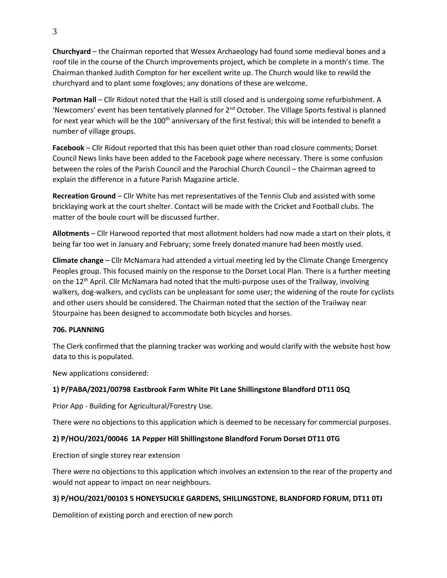**Churchyard** – the Chairman reported that Wessex Archaeology had found some medieval bones and a roof tile in the course of the Church improvements project, which be complete in a month's time. The Chairman thanked Judith Compton for her excellent write up. The Church would like to rewild the churchyard and to plant some foxgloves; any donations of these are welcome.

**Portman Hall** – Cllr Ridout noted that the Hall is still closed and is undergoing some refurbishment. A 'Newcomers' event has been tentatively planned for  $2<sup>nd</sup>$  October. The Village Sports festival is planned for next year which will be the 100<sup>th</sup> anniversary of the first festival; this will be intended to benefit a number of village groups.

**Facebook** – Cllr Ridout reported that this has been quiet other than road closure comments; Dorset Council News links have been added to the Facebook page where necessary. There is some confusion between the roles of the Parish Council and the Parochial Church Council – the Chairman agreed to explain the difference in a future Parish Magazine article.

**Recreation Ground** – Cllr White has met representatives of the Tennis Club and assisted with some bricklaying work at the court shelter. Contact will be made with the Cricket and Football clubs. The matter of the boule court will be discussed further.

**Allotments** – Cllr Harwood reported that most allotment holders had now made a start on their plots, it being far too wet in January and February; some freely donated manure had been mostly used.

**Climate change** – Cllr McNamara had attended a virtual meeting led by the Climate Change Emergency Peoples group. This focused mainly on the response to the Dorset Local Plan. There is a further meeting on the 12th April. Cllr McNamara had noted that the multi-purpose uses of the Trailway, involving walkers, dog-walkers, and cyclists can be unpleasant for some user; the widening of the route for cyclists and other users should be considered. The Chairman noted that the section of the Trailway near Stourpaine has been designed to accommodate both bicycles and horses.

#### **706. PLANNING**

The Clerk confirmed that the planning tracker was working and would clarify with the website host how data to this is populated.

New applications considered:

# **1) P/PABA/2021/00798 Eastbrook Farm White Pit Lane Shillingstone Blandford DT11 0SQ**

Prior App - Building for Agricultural/Forestry Use.

There were no objections to this application which is deemed to be necessary for commercial purposes.

# **2) P/HOU/2021/00046 1A Pepper Hill Shillingstone Blandford Forum Dorset DT11 0TG**

Erection of single storey rear extension

There were no objections to this application which involves an extension to the rear of the property and would not appear to impact on near neighbours.

# **3) P/HOU/2021/00103 5 HONEYSUCKLE GARDENS, SHILLINGSTONE, BLANDFORD FORUM, DT11 0TJ**

Demolition of existing porch and erection of new porch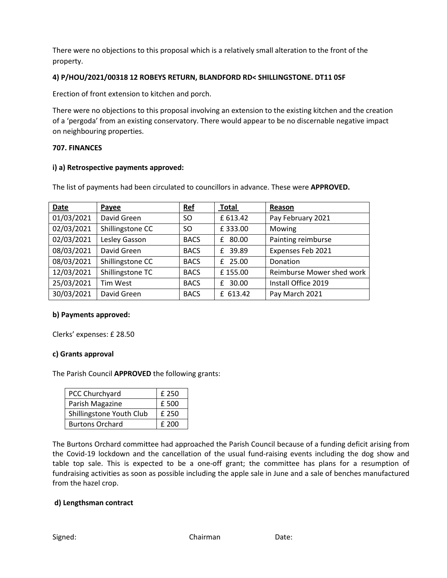There were no objections to this proposal which is a relatively small alteration to the front of the property.

# **4) P/HOU/2021/00318 12 ROBEYS RETURN, BLANDFORD RD< SHILLINGSTONE. DT11 0SF**

Erection of front extension to kitchen and porch.

There were no objections to this proposal involving an extension to the existing kitchen and the creation of a 'pergoda' from an existing conservatory. There would appear to be no discernable negative impact on neighbouring properties.

## **707. FINANCES**

## **i) a) Retrospective payments approved:**

The list of payments had been circulated to councillors in advance. These were **APPROVED.** 

| Date       | Payee            | <b>Ref</b>  | <b>Total</b> | Reason                    |
|------------|------------------|-------------|--------------|---------------------------|
| 01/03/2021 | David Green      | SO.         | £ 613.42     | Pay February 2021         |
| 02/03/2021 | Shillingstone CC | SO.         | £333.00      | Mowing                    |
| 02/03/2021 | Lesley Gasson    | <b>BACS</b> | 80.00<br>£   | Painting reimburse        |
| 08/03/2021 | David Green      | <b>BACS</b> | 39.89<br>f   | Expenses Feb 2021         |
| 08/03/2021 | Shillingstone CC | <b>BACS</b> | 25.00<br>f   | Donation                  |
| 12/03/2021 | Shillingstone TC | <b>BACS</b> | £155.00      | Reimburse Mower shed work |
| 25/03/2021 | Tim West         | <b>BACS</b> | 30.00<br>f   | Install Office 2019       |
| 30/03/2021 | David Green      | <b>BACS</b> | £ 613.42     | Pay March 2021            |

# **b) Payments approved:**

Clerks' expenses: £ 28.50

# **c) Grants approval**

The Parish Council **APPROVED** the following grants:

| PCC Churchyard           | £ 250 |
|--------------------------|-------|
| Parish Magazine          | £500  |
| Shillingstone Youth Club | £ 250 |
| <b>Burtons Orchard</b>   | £ 200 |

The Burtons Orchard committee had approached the Parish Council because of a funding deficit arising from the Covid-19 lockdown and the cancellation of the usual fund-raising events including the dog show and table top sale. This is expected to be a one-off grant; the committee has plans for a resumption of fundraising activities as soon as possible including the apple sale in June and a sale of benches manufactured from the hazel crop.

# **d) Lengthsman contract**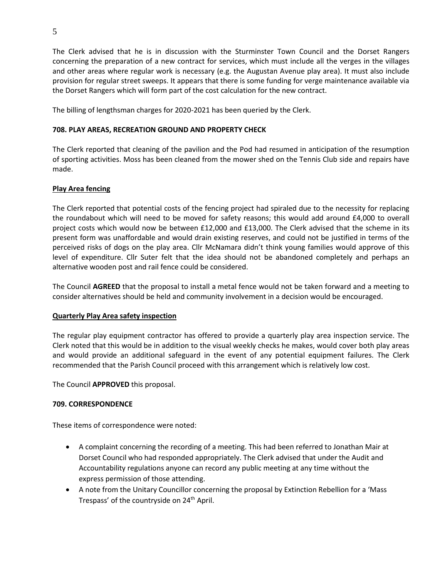The Clerk advised that he is in discussion with the Sturminster Town Council and the Dorset Rangers concerning the preparation of a new contract for services, which must include all the verges in the villages and other areas where regular work is necessary (e.g. the Augustan Avenue play area). It must also include provision for regular street sweeps. It appears that there is some funding for verge maintenance available via the Dorset Rangers which will form part of the cost calculation for the new contract.

The billing of lengthsman charges for 2020-2021 has been queried by the Clerk.

## **708. PLAY AREAS, RECREATION GROUND AND PROPERTY CHECK**

The Clerk reported that cleaning of the pavilion and the Pod had resumed in anticipation of the resumption of sporting activities. Moss has been cleaned from the mower shed on the Tennis Club side and repairs have made.

## **Play Area fencing**

The Clerk reported that potential costs of the fencing project had spiraled due to the necessity for replacing the roundabout which will need to be moved for safety reasons; this would add around £4,000 to overall project costs which would now be between £12,000 and £13,000. The Clerk advised that the scheme in its present form was unaffordable and would drain existing reserves, and could not be justified in terms of the perceived risks of dogs on the play area. Cllr McNamara didn't think young families would approve of this level of expenditure. Cllr Suter felt that the idea should not be abandoned completely and perhaps an alternative wooden post and rail fence could be considered.

The Council **AGREED** that the proposal to install a metal fence would not be taken forward and a meeting to consider alternatives should be held and community involvement in a decision would be encouraged.

#### **Quarterly Play Area safety inspection**

The regular play equipment contractor has offered to provide a quarterly play area inspection service. The Clerk noted that this would be in addition to the visual weekly checks he makes, would cover both play areas and would provide an additional safeguard in the event of any potential equipment failures. The Clerk recommended that the Parish Council proceed with this arrangement which is relatively low cost.

The Council **APPROVED** this proposal.

#### **709. CORRESPONDENCE**

These items of correspondence were noted:

- A complaint concerning the recording of a meeting. This had been referred to Jonathan Mair at Dorset Council who had responded appropriately. The Clerk advised that under the Audit and Accountability regulations anyone can record any public meeting at any time without the express permission of those attending.
- A note from the Unitary Councillor concerning the proposal by Extinction Rebellion for a 'Mass Trespass' of the countryside on 24<sup>th</sup> April.